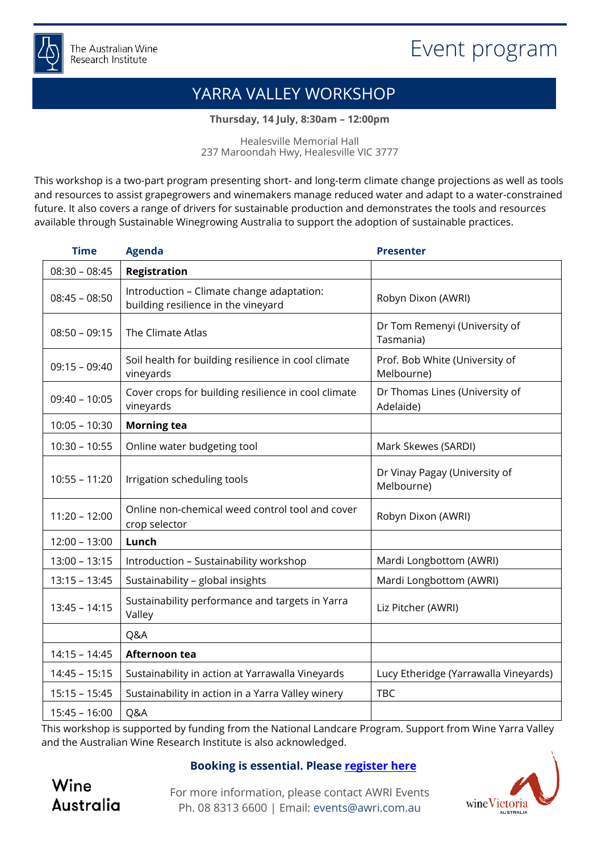

# YARRA VALLEY WORKSHOP

**Thursday, 14 July, 8:30am – 12:00pm**

Healesville Memorial Hall 237 Maroondah Hwy, Healesville VIC 3777

This workshop is a two-part program presenting short- and long-term climate change projections as well as tools and resources to assist grapegrowers and winemakers manage reduced water and adapt to a water-constrained future. It also covers a range of drivers for sustainable production and demonstrates the tools and resources available through Sustainable Winegrowing Australia to support the adoption of sustainable practices.

| <b>Time</b>     | <b>Agenda</b>                                                                    | <b>Presenter</b>                             |
|-----------------|----------------------------------------------------------------------------------|----------------------------------------------|
| $08:30 - 08:45$ | <b>Registration</b>                                                              |                                              |
| $08:45 - 08:50$ | Introduction - Climate change adaptation:<br>building resilience in the vineyard | Robyn Dixon (AWRI)                           |
| $08:50 - 09:15$ | The Climate Atlas                                                                | Dr Tom Remenyi (University of<br>Tasmania)   |
| $09:15 - 09:40$ | Soil health for building resilience in cool climate<br>vineyards                 | Prof. Bob White (University of<br>Melbourne) |
| $09:40 - 10:05$ | Cover crops for building resilience in cool climate<br>vineyards                 | Dr Thomas Lines (University of<br>Adelaide)  |
| $10:05 - 10:30$ | <b>Morning tea</b>                                                               |                                              |
| $10:30 - 10:55$ | Online water budgeting tool                                                      | Mark Skewes (SARDI)                          |
| $10:55 - 11:20$ | Irrigation scheduling tools                                                      | Dr Vinay Pagay (University of<br>Melbourne)  |
| $11:20 - 12:00$ | Online non-chemical weed control tool and cover<br>crop selector                 | Robyn Dixon (AWRI)                           |
| $12:00 - 13:00$ | Lunch                                                                            |                                              |
| $13:00 - 13:15$ | Introduction - Sustainability workshop                                           | Mardi Longbottom (AWRI)                      |
| $13:15 - 13:45$ | Sustainability - global insights                                                 | Mardi Longbottom (AWRI)                      |
| $13:45 - 14:15$ | Sustainability performance and targets in Yarra<br>Valley                        | Liz Pitcher (AWRI)                           |
|                 | Q&A                                                                              |                                              |
| $14:15 - 14:45$ | Afternoon tea                                                                    |                                              |
| $14:45 - 15:15$ | Sustainability in action at Yarrawalla Vineyards                                 | Lucy Etheridge (Yarrawalla Vineyards)        |
| $15:15 - 15:45$ | Sustainability in action in a Yarra Valley winery                                | <b>TBC</b>                                   |
| $15:45 - 16:00$ | Q&A                                                                              |                                              |

This workshop is supported by funding from the National Landcare Program. Support from Wine Yarra Valley and the Australian Wine Research Institute is also acknowledged.

## **Booking is essential. Please [register](https://www.awri.com.au/events/climate-change-adaptation-building-resilience-in-the-vineyard-yarra-valley/) here**

Wine **Australia** 

For more information, please contact AWRI Events Ph. 08 8313 6600 | Email: [events@awri.com.au](mailto:events@awri.com.au)

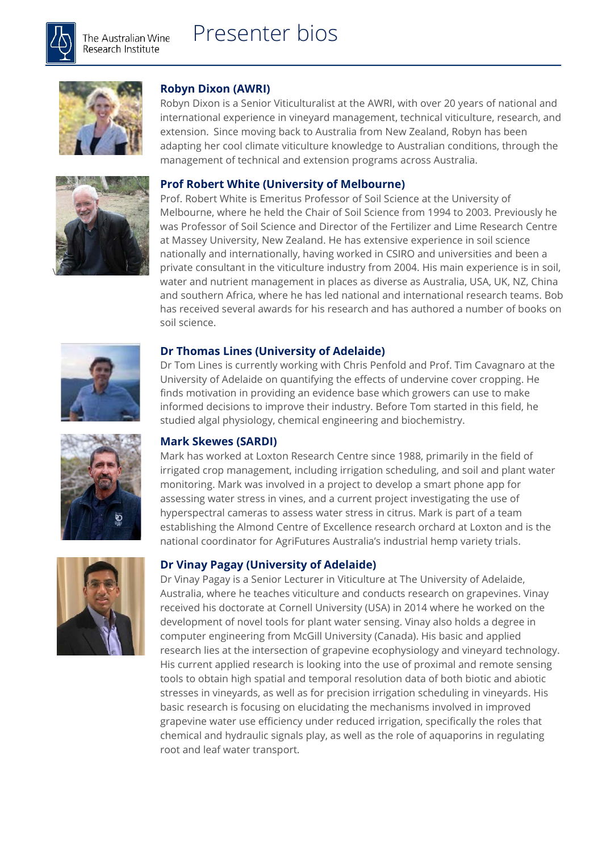

\



## **Robyn Dixon (AWRI)**

Robyn Dixon is a Senior Viticulturalist at the AWRI, with over 20 years of national and international experience in vineyard management, technical viticulture, research, and extension. Since moving back to Australia from New Zealand, Robyn has been adapting her cool climate viticulture knowledge to Australian conditions, through the management of technical and extension programs across Australia.

#### **Prof Robert White (University of Melbourne)**

Prof. Robert White is Emeritus Professor of Soil Science at the University of Melbourne, where he held the Chair of Soil Science from 1994 to 2003. Previously he was Professor of Soil Science and Director of the Fertilizer and Lime Research Centre at Massey University, New Zealand. He has extensive experience in soil science nationally and internationally, having worked in CSIRO and universities and been a private consultant in the viticulture industry from 2004. His main experience is in soil, water and nutrient management in places as diverse as Australia, USA, UK, NZ, China and southern Africa, where he has led national and international research teams. Bob has received several awards for his research and has authored a number of books on soil science.

#### **Dr Thomas Lines (University of Adelaide)**

Dr Tom Lines is currently working with Chris Penfold and Prof. Tim Cavagnaro at the University of Adelaide on quantifying the effects of undervine cover cropping. He finds motivation in providing an evidence base which growers can use to make informed decisions to improve their industry. Before Tom started in this field, he studied algal physiology, chemical engineering and biochemistry.

#### **Mark Skewes (SARDI)**

Mark has worked at Loxton Research Centre since 1988, primarily in the field of irrigated crop management, including irrigation scheduling, and soil and plant water monitoring. Mark was involved in a project to develop a smart phone app for assessing water stress in vines, and a current project investigating the use of hyperspectral cameras to assess water stress in citrus. Mark is part of a team establishing the Almond Centre of Excellence research orchard at Loxton and is the national coordinator for AgriFutures Australia's industrial hemp variety trials.

#### **Dr Vinay Pagay (University of Adelaide)**

Dr Vinay Pagay is a Senior Lecturer in Viticulture at The University of Adelaide, Australia, where he teaches viticulture and conducts research on grapevines. Vinay received his doctorate at Cornell University (USA) in 2014 where he worked on the development of novel tools for plant water sensing. Vinay also holds a degree in computer engineering from McGill University (Canada). His basic and applied research lies at the intersection of grapevine ecophysiology and vineyard technology. His current applied research is looking into the use of proximal and remote sensing tools to obtain high spatial and temporal resolution data of both biotic and abiotic stresses in vineyards, as well as for precision irrigation scheduling in vineyards. His basic research is focusing on elucidating the mechanisms involved in improved grapevine water use efficiency under reduced irrigation, specifically the roles that chemical and hydraulic signals play, as well as the role of aquaporins in regulating root and leaf water transport.